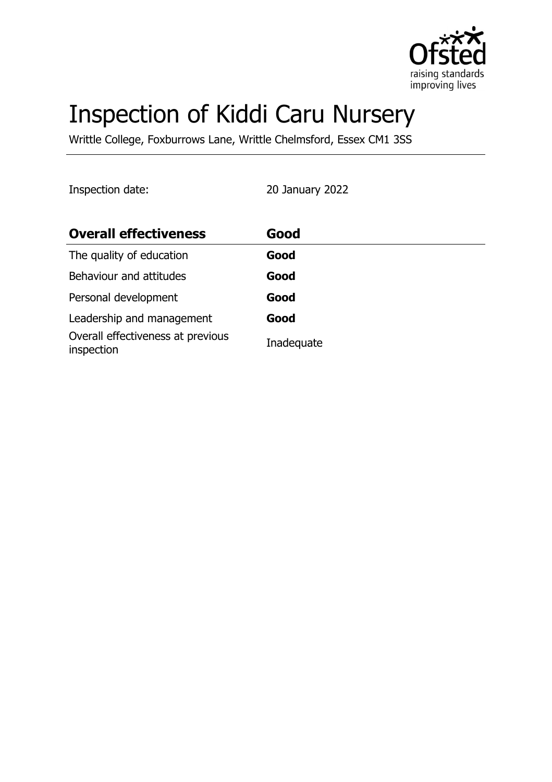

# Inspection of Kiddi Caru Nursery

Writtle College, Foxburrows Lane, Writtle Chelmsford, Essex CM1 3SS

Inspection date: 20 January 2022

| <b>Overall effectiveness</b>                    | Good       |
|-------------------------------------------------|------------|
| The quality of education                        | Good       |
| Behaviour and attitudes                         | Good       |
| Personal development                            | Good       |
| Leadership and management                       | Good       |
| Overall effectiveness at previous<br>inspection | Inadequate |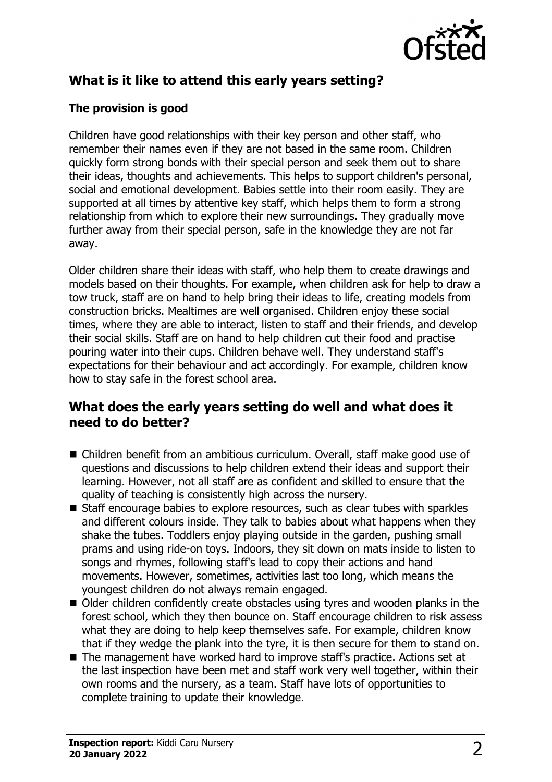

# **What is it like to attend this early years setting?**

## **The provision is good**

Children have good relationships with their key person and other staff, who remember their names even if they are not based in the same room. Children quickly form strong bonds with their special person and seek them out to share their ideas, thoughts and achievements. This helps to support children's personal, social and emotional development. Babies settle into their room easily. They are supported at all times by attentive key staff, which helps them to form a strong relationship from which to explore their new surroundings. They gradually move further away from their special person, safe in the knowledge they are not far away.

Older children share their ideas with staff, who help them to create drawings and models based on their thoughts. For example, when children ask for help to draw a tow truck, staff are on hand to help bring their ideas to life, creating models from construction bricks. Mealtimes are well organised. Children enjoy these social times, where they are able to interact, listen to staff and their friends, and develop their social skills. Staff are on hand to help children cut their food and practise pouring water into their cups. Children behave well. They understand staff's expectations for their behaviour and act accordingly. For example, children know how to stay safe in the forest school area.

## **What does the early years setting do well and what does it need to do better?**

- Children benefit from an ambitious curriculum. Overall, staff make good use of questions and discussions to help children extend their ideas and support their learning. However, not all staff are as confident and skilled to ensure that the quality of teaching is consistently high across the nursery.
- $\blacksquare$  Staff encourage babies to explore resources, such as clear tubes with sparkles and different colours inside. They talk to babies about what happens when they shake the tubes. Toddlers enjoy playing outside in the garden, pushing small prams and using ride-on toys. Indoors, they sit down on mats inside to listen to songs and rhymes, following staff's lead to copy their actions and hand movements. However, sometimes, activities last too long, which means the youngest children do not always remain engaged.
- $\blacksquare$  Older children confidently create obstacles using tyres and wooden planks in the forest school, which they then bounce on. Staff encourage children to risk assess what they are doing to help keep themselves safe. For example, children know that if they wedge the plank into the tyre, it is then secure for them to stand on.
- The management have worked hard to improve staff's practice. Actions set at the last inspection have been met and staff work very well together, within their own rooms and the nursery, as a team. Staff have lots of opportunities to complete training to update their knowledge.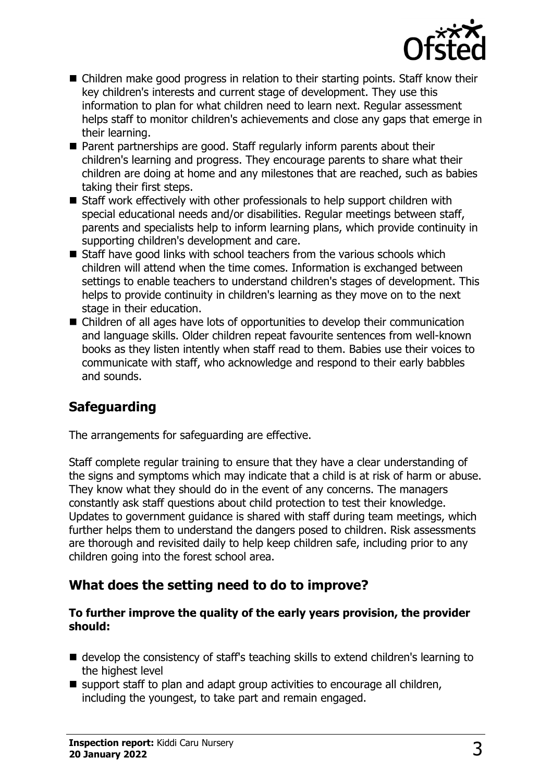

- $\blacksquare$  Children make good progress in relation to their starting points. Staff know their key children's interests and current stage of development. They use this information to plan for what children need to learn next. Regular assessment helps staff to monitor children's achievements and close any gaps that emerge in their learning.
- Parent partnerships are good. Staff regularly inform parents about their children's learning and progress. They encourage parents to share what their children are doing at home and any milestones that are reached, such as babies taking their first steps.
- Staff work effectively with other professionals to help support children with special educational needs and/or disabilities. Regular meetings between staff, parents and specialists help to inform learning plans, which provide continuity in supporting children's development and care.
- $\blacksquare$  Staff have good links with school teachers from the various schools which children will attend when the time comes. Information is exchanged between settings to enable teachers to understand children's stages of development. This helps to provide continuity in children's learning as they move on to the next stage in their education.
- $\blacksquare$  Children of all ages have lots of opportunities to develop their communication and language skills. Older children repeat favourite sentences from well-known books as they listen intently when staff read to them. Babies use their voices to communicate with staff, who acknowledge and respond to their early babbles and sounds.

# **Safeguarding**

The arrangements for safeguarding are effective.

Staff complete regular training to ensure that they have a clear understanding of the signs and symptoms which may indicate that a child is at risk of harm or abuse. They know what they should do in the event of any concerns. The managers constantly ask staff questions about child protection to test their knowledge. Updates to government guidance is shared with staff during team meetings, which further helps them to understand the dangers posed to children. Risk assessments are thorough and revisited daily to help keep children safe, including prior to any children going into the forest school area.

# **What does the setting need to do to improve?**

#### **To further improve the quality of the early years provision, the provider should:**

- $\blacksquare$  develop the consistency of staff's teaching skills to extend children's learning to the highest level
- $\blacksquare$  support staff to plan and adapt group activities to encourage all children, including the youngest, to take part and remain engaged.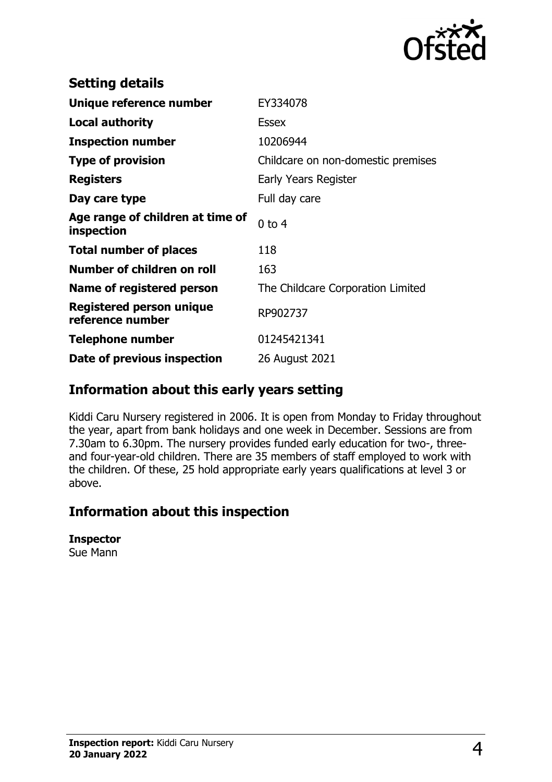

| <b>Setting details</b>                              |                                    |
|-----------------------------------------------------|------------------------------------|
| Unique reference number                             | EY334078                           |
| <b>Local authority</b>                              | <b>Essex</b>                       |
| <b>Inspection number</b>                            | 10206944                           |
| <b>Type of provision</b>                            | Childcare on non-domestic premises |
| <b>Registers</b>                                    | Early Years Register               |
| Day care type                                       | Full day care                      |
| Age range of children at time of<br>inspection      | $0$ to 4                           |
| <b>Total number of places</b>                       | 118                                |
| Number of children on roll                          | 163                                |
| Name of registered person                           | The Childcare Corporation Limited  |
| <b>Registered person unique</b><br>reference number | RP902737                           |
| Telephone number                                    | 01245421341                        |
| Date of previous inspection                         | 26 August 2021                     |

## **Information about this early years setting**

Kiddi Caru Nursery registered in 2006. It is open from Monday to Friday throughout the year, apart from bank holidays and one week in December. Sessions are from 7.30am to 6.30pm. The nursery provides funded early education for two-, threeand four-year-old children. There are 35 members of staff employed to work with the children. Of these, 25 hold appropriate early years qualifications at level 3 or above.

## **Information about this inspection**

#### **Inspector**

Sue Mann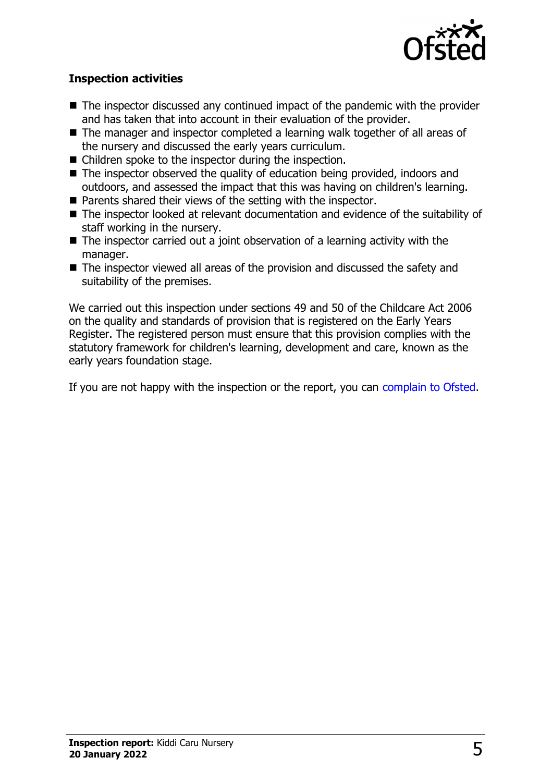

### **Inspection activities**

- $\blacksquare$  The inspector discussed any continued impact of the pandemic with the provider and has taken that into account in their evaluation of the provider.
- The manager and inspector completed a learning walk together of all areas of the nursery and discussed the early years curriculum.
- $\blacksquare$  Children spoke to the inspector during the inspection.
- $\blacksquare$  The inspector observed the quality of education being provided, indoors and outdoors, and assessed the impact that this was having on children's learning.
- $\blacksquare$  Parents shared their views of the setting with the inspector.
- $\blacksquare$  The inspector looked at relevant documentation and evidence of the suitability of staff working in the nursery.
- $\blacksquare$  The inspector carried out a joint observation of a learning activity with the manager.
- $\blacksquare$  The inspector viewed all areas of the provision and discussed the safety and suitability of the premises.

We carried out this inspection under sections 49 and 50 of the Childcare Act 2006 on the quality and standards of provision that is registered on the Early Years Register. The registered person must ensure that this provision complies with the statutory framework for children's learning, development and care, known as the early years foundation stage.

If you are not happy with the inspection or the report, you can [complain to Ofsted](http://www.gov.uk/complain-ofsted-report).